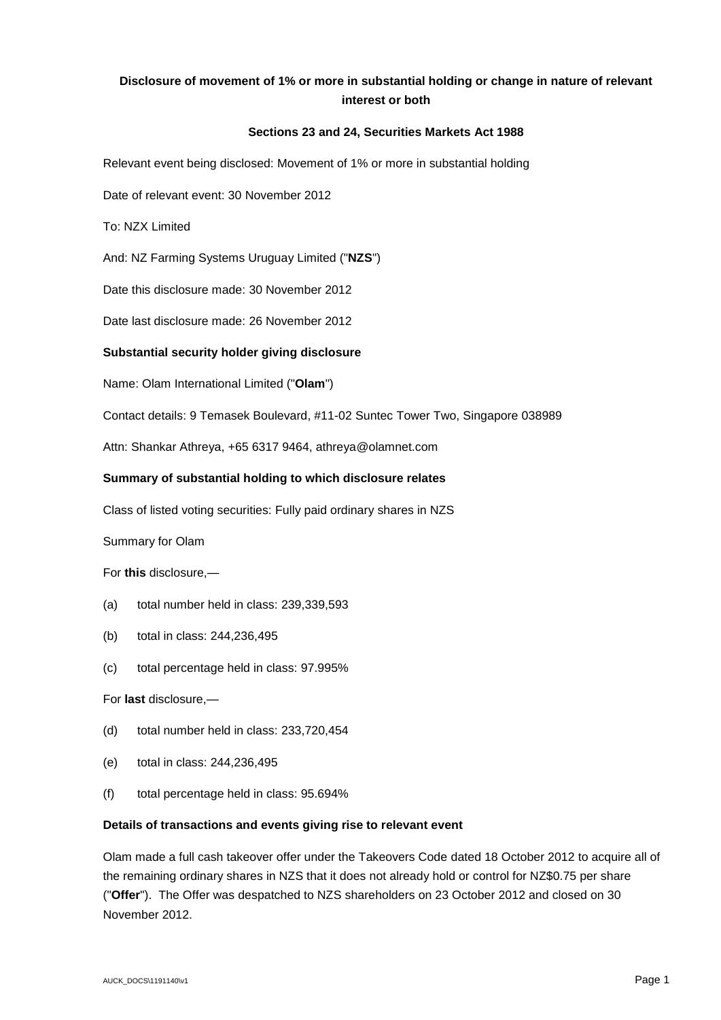# **Disclosure of movement of 1% or more in substantial holding or change in nature of relevant interest or both**

## **Sections 23 and 24, Securities Markets Act 1988**

Relevant event being disclosed: Movement of 1% or more in substantial holding

Date of relevant event: 30 November 2012

To: NZX Limited

And: NZ Farming Systems Uruguay Limited ("**NZS**")

Date this disclosure made: 30 November 2012

Date last disclosure made: 26 November 2012

### **Substantial security holder giving disclosure**

Name: Olam International Limited ("**Olam**")

Contact details: 9 Temasek Boulevard, #11-02 Suntec Tower Two, Singapore 038989

Attn: Shankar Athreya, +65 6317 9464, athreya@olamnet.com

#### **Summary of substantial holding to which disclosure relates**

Class of listed voting securities: Fully paid ordinary shares in NZS

Summary for Olam

For **this** disclosure,—

- (a) total number held in class: 239,339,593
- (b) total in class: 244,236,495
- (c) total percentage held in class: 97.995%

For **last** disclosure,—

- (d) total number held in class: 233,720,454
- (e) total in class: 244,236,495
- (f) total percentage held in class: 95.694%

#### **Details of transactions and events giving rise to relevant event**

Olam made a full cash takeover offer under the Takeovers Code dated 18 October 2012 to acquire all of the remaining ordinary shares in NZS that it does not already hold or control for NZ\$0.75 per share ("**Offer**"). The Offer was despatched to NZS shareholders on 23 October 2012 and closed on 30 November 2012.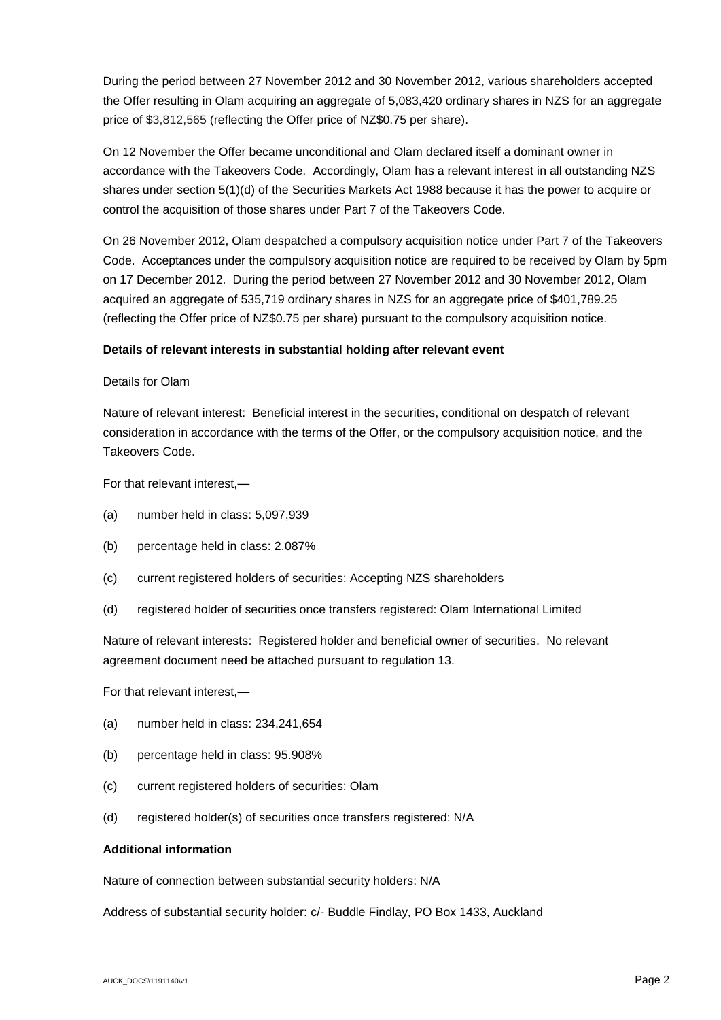During the period between 27 November 2012 and 30 November 2012, various shareholders accepted the Offer resulting in Olam acquiring an aggregate of 5,083,420 ordinary shares in NZS for an aggregate price of \$3,812,565 (reflecting the Offer price of NZ\$0.75 per share).

On 12 November the Offer became unconditional and Olam declared itself a dominant owner in accordance with the Takeovers Code. Accordingly, Olam has a relevant interest in all outstanding NZS shares under section 5(1)(d) of the Securities Markets Act 1988 because it has the power to acquire or control the acquisition of those shares under Part 7 of the Takeovers Code.

On 26 November 2012, Olam despatched a compulsory acquisition notice under Part 7 of the Takeovers Code. Acceptances under the compulsory acquisition notice are required to be received by Olam by 5pm on 17 December 2012. During the period between 27 November 2012 and 30 November 2012, Olam acquired an aggregate of 535,719 ordinary shares in NZS for an aggregate price of \$401,789.25 (reflecting the Offer price of NZ\$0.75 per share) pursuant to the compulsory acquisition notice.

## **Details of relevant interests in substantial holding after relevant event**

#### Details for Olam

Nature of relevant interest: Beneficial interest in the securities, conditional on despatch of relevant consideration in accordance with the terms of the Offer, or the compulsory acquisition notice, and the Takeovers Code.

For that relevant interest,—

- (a) number held in class: 5,097,939
- (b) percentage held in class: 2.087%
- (c) current registered holders of securities: Accepting NZS shareholders
- (d) registered holder of securities once transfers registered: Olam International Limited

Nature of relevant interests: Registered holder and beneficial owner of securities. No relevant agreement document need be attached pursuant to regulation 13.

For that relevant interest,—

- (a) number held in class: 234,241,654
- (b) percentage held in class: 95.908%
- (c) current registered holders of securities: Olam
- (d) registered holder(s) of securities once transfers registered: N/A

## **Additional information**

Nature of connection between substantial security holders: N/A

Address of substantial security holder: c/- Buddle Findlay, PO Box 1433, Auckland